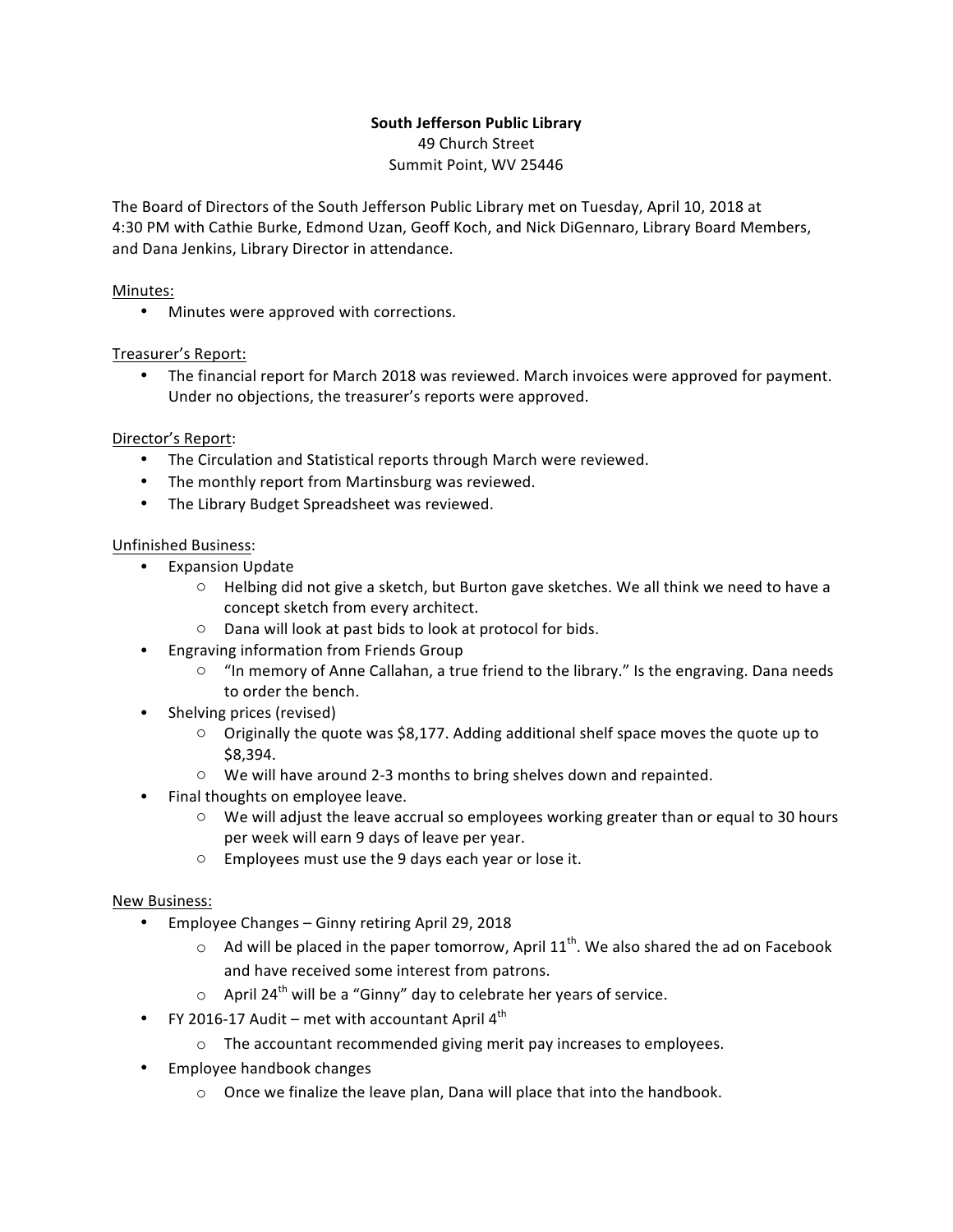# **South Jefferson Public Library**

49 Church Street Summit Point, WV 25446

The Board of Directors of the South Jefferson Public Library met on Tuesday, April 10, 2018 at 4:30 PM with Cathie Burke, Edmond Uzan, Geoff Koch, and Nick DiGennaro, Library Board Members, and Dana Jenkins, Library Director in attendance.

## Minutes:

• Minutes were approved with corrections.

## Treasurer's Report:

The financial report for March 2018 was reviewed. March invoices were approved for payment. Under no objections, the treasurer's reports were approved.

## Director's Report:

- The Circulation and Statistical reports through March were reviewed.
- The monthly report from Martinsburg was reviewed.
- The Library Budget Spreadsheet was reviewed.

## Unfinished Business:

- Expansion Update
	- $\circ$  Helbing did not give a sketch, but Burton gave sketches. We all think we need to have a concept sketch from every architect.
	- $\circ$  Dana will look at past bids to look at protocol for bids.
- Engraving information from Friends Group
	- $\circ$  "In memory of Anne Callahan, a true friend to the library." Is the engraving. Dana needs to order the bench.
- Shelving prices (revised)
	- $\circ$  Originally the quote was \$8,177. Adding additional shelf space moves the quote up to \$8,394.
	- $\circ$  We will have around 2-3 months to bring shelves down and repainted.
- Final thoughts on employee leave.
	- $\circ$  We will adjust the leave accrual so employees working greater than or equal to 30 hours per week will earn 9 days of leave per year.
	- $\circ$  Employees must use the 9 days each year or lose it.

### New Business:

- Employee Changes Ginny retiring April 29, 2018
	- $\circ$  Ad will be placed in the paper tomorrow, April 11<sup>th</sup>. We also shared the ad on Facebook and have received some interest from patrons.
	- $\circ$  April 24<sup>th</sup> will be a "Ginny" day to celebrate her years of service.
- FY 2016-17 Audit met with accountant April  $4^{th}$ 
	- $\circ$  The accountant recommended giving merit pay increases to employees.
- Employee handbook changes
	- $\circ$  Once we finalize the leave plan, Dana will place that into the handbook.